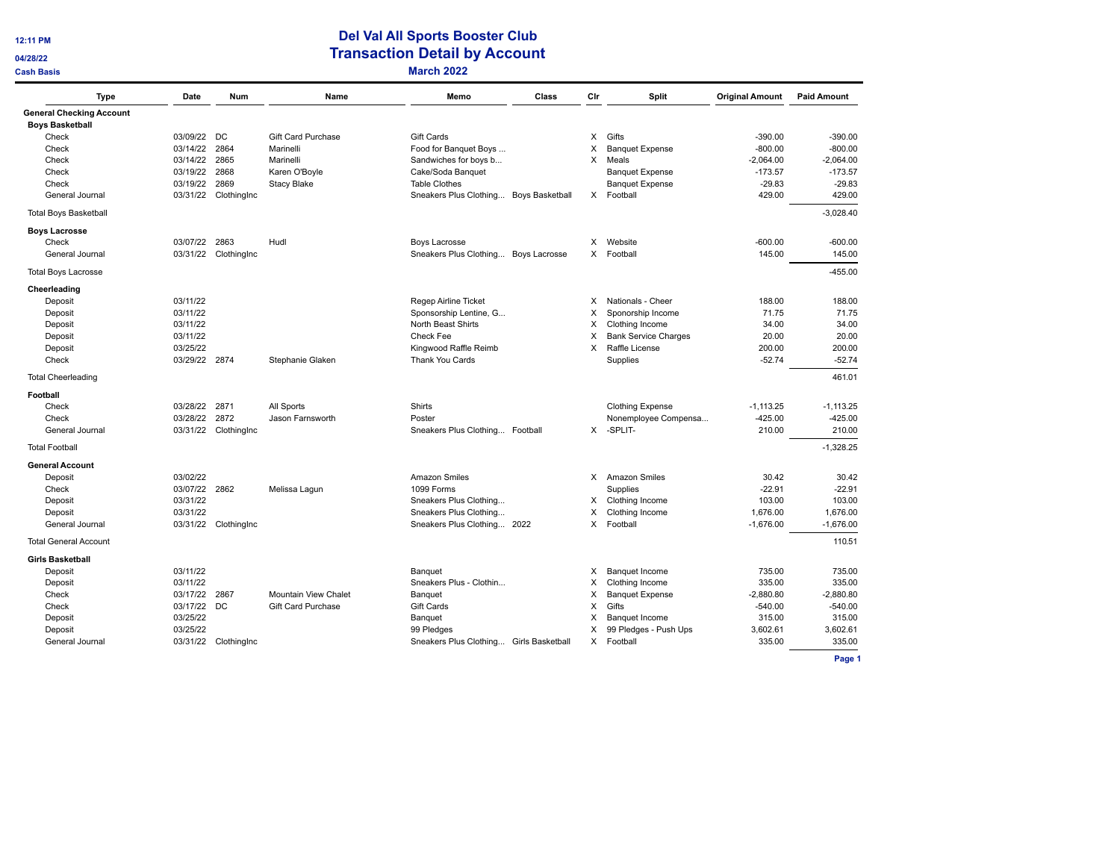**12:11 PM** 

# $\sim$

# **Del Val All Sports Booster Club Transaction Detail by Account CONSISTS Cash Basis March 2022**

| <b>Type</b>                     | Date          | <b>Num</b>           | Name                        | Memo                                    | Class | Cir      | Split                       | <b>Original Amount</b> | <b>Paid Amount</b> |
|---------------------------------|---------------|----------------------|-----------------------------|-----------------------------------------|-------|----------|-----------------------------|------------------------|--------------------|
| <b>General Checking Account</b> |               |                      |                             |                                         |       |          |                             |                        |                    |
| <b>Boys Basketball</b>          |               |                      |                             |                                         |       |          |                             |                        |                    |
| Check                           | 03/09/22      | DC                   | <b>Gift Card Purchase</b>   | Gift Cards                              |       | $\times$ | Gifts                       | $-390.00$              | $-390.00$          |
| Check                           | 03/14/22      | 2864                 | Marinelli                   | Food for Banquet Boys                   |       | X        | <b>Banquet Expense</b>      | $-800.00$              | $-800.00$          |
| Check                           | 03/14/22      | 2865                 | Marinelli                   | Sandwiches for boys b                   |       | X        | Meals                       | $-2,064.00$            | $-2.064.00$        |
| Check                           | 03/19/22      | 2868                 | Karen O'Boyle               | Cake/Soda Banquet                       |       |          | <b>Banquet Expense</b>      | $-173.57$              | $-173.57$          |
| Check                           | 03/19/22      | 2869                 | <b>Stacy Blake</b>          | <b>Table Clothes</b>                    |       |          | <b>Banquet Expense</b>      | $-29.83$               | $-29.83$           |
| General Journal                 |               | 03/31/22 ClothingInc |                             | Sneakers Plus Clothing Boys Basketball  |       |          | X Football                  | 429.00                 | 429.00             |
| <b>Total Boys Basketball</b>    |               |                      |                             |                                         |       |          |                             |                        | $-3,028.40$        |
| <b>Boys Lacrosse</b>            |               |                      |                             |                                         |       |          |                             |                        |                    |
| Check                           | 03/07/22      | 2863                 | Hudl                        | <b>Boys Lacrosse</b>                    |       | X        | Website                     | $-600.00$              | $-600.00$          |
| General Journal                 | 03/31/22      | ClothingInc          |                             | Sneakers Plus Clothing Boys Lacrosse    |       | X.       | Football                    | 145.00                 | 145.00             |
| <b>Total Boys Lacrosse</b>      |               |                      |                             |                                         |       |          |                             |                        | $-455.00$          |
| Cheerleading                    |               |                      |                             |                                         |       |          |                             |                        |                    |
| Deposit                         | 03/11/22      |                      |                             | Regep Airline Ticket                    |       | X        | Nationals - Cheer           | 188.00                 | 188.00             |
| Deposit                         | 03/11/22      |                      |                             | Sponsorship Lentine, G                  |       | X        | Sponorship Income           | 71.75                  | 71.75              |
| Deposit                         | 03/11/22      |                      |                             | North Beast Shirts                      |       | X        | Clothing Income             | 34.00                  | 34.00              |
| Deposit                         | 03/11/22      |                      |                             | Check Fee                               |       | X        | <b>Bank Service Charges</b> | 20.00                  | 20.00              |
| Deposit                         | 03/25/22      |                      |                             | Kingwood Raffle Reimb                   |       | $\times$ | Raffle License              | 200.00                 | 200.00             |
| Check                           | 03/29/22      | 2874                 | Stephanie Glaken            | Thank You Cards                         |       |          | Supplies                    | $-52.74$               | $-52.74$           |
| <b>Total Cheerleading</b>       |               |                      |                             |                                         |       |          |                             |                        | 461.01             |
| Football                        |               |                      |                             |                                         |       |          |                             |                        |                    |
| Check                           | 03/28/22      | 2871                 | All Sports                  | Shirts                                  |       |          | <b>Clothing Expense</b>     | $-1,113.25$            | $-1, 113.25$       |
| Check                           | 03/28/22      | 2872                 | Jason Farnsworth            | Poster                                  |       |          | Nonemployee Compensa        | $-425.00$              | $-425.00$          |
| General Journal                 | 03/31/22      | ClothingInc          |                             | Sneakers Plus Clothing Football         |       | $\times$ | -SPLIT-                     | 210.00                 | 210.00             |
| <b>Total Football</b>           |               |                      |                             |                                         |       |          |                             |                        | $-1.328.25$        |
| <b>General Account</b>          |               |                      |                             |                                         |       |          |                             |                        |                    |
| Deposit                         | 03/02/22      |                      |                             | <b>Amazon Smiles</b>                    |       |          | X Amazon Smiles             | 30.42                  | 30.42              |
| Check                           | 03/07/22 2862 |                      | Melissa Lagun               | 1099 Forms                              |       |          | Supplies                    | $-22.91$               | $-22.91$           |
| Deposit                         | 03/31/22      |                      |                             | Sneakers Plus Clothing                  |       | X        | Clothing Income             | 103.00                 | 103.00             |
| Deposit                         | 03/31/22      |                      |                             | Sneakers Plus Clothing                  |       | X        | Clothing Income             | 1,676.00               | 1,676.00           |
| General Journal                 | 03/31/22      | ClothingInc          |                             | Sneakers Plus Clothing 2022             |       | X        | Football                    | $-1,676.00$            | $-1,676.00$        |
| <b>Total General Account</b>    |               |                      |                             |                                         |       |          |                             |                        | 110.51             |
| <b>Girls Basketball</b>         |               |                      |                             |                                         |       |          |                             |                        |                    |
| Deposit                         | 03/11/22      |                      |                             | Banguet                                 |       | X        | <b>Banquet Income</b>       | 735.00                 | 735.00             |
| Deposit                         | 03/11/22      |                      |                             | Sneakers Plus - Clothin                 |       | X        | Clothing Income             | 335.00                 | 335.00             |
| Check                           | 03/17/22      | 2867                 | <b>Mountain View Chalet</b> | Banquet                                 |       | X        | <b>Banquet Expense</b>      | $-2,880.80$            | $-2,880.80$        |
| Check                           | 03/17/22      | DC                   | <b>Gift Card Purchase</b>   | Gift Cards                              |       | X        | Gifts                       | $-540.00$              | $-540.00$          |
| Deposit                         | 03/25/22      |                      |                             | Banquet                                 |       | X        | <b>Banquet Income</b>       | 315.00                 | 315.00             |
| Deposit                         | 03/25/22      |                      |                             | 99 Pledges                              |       | X        | 99 Pledges - Push Ups       | 3,602.61               | 3,602.61           |
| General Journal                 |               | 03/31/22 ClothingInc |                             | Sneakers Plus Clothing Girls Basketball |       |          | X Football                  | 335.00                 | 335.00             |

**Page 1**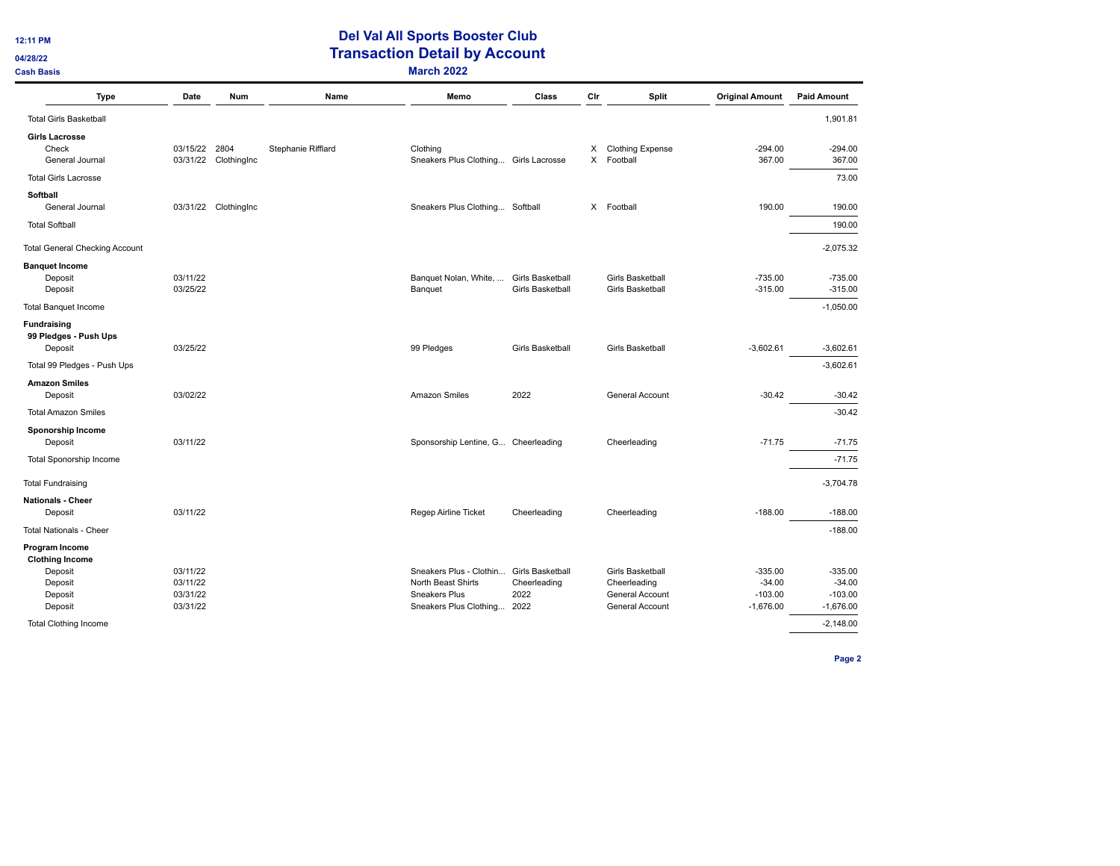**12:11 PM** 

# **Del Val All Sports Booster Club Transaction Detail by Account CONSISTS Cash Basis March 2022**

| <b>Type</b>                                       | Date                 | Num                          | Name               | Memo                                              | Class                                | Cir    | Split                                | <b>Original Amount</b>   | <b>Paid Amount</b>       |
|---------------------------------------------------|----------------------|------------------------------|--------------------|---------------------------------------------------|--------------------------------------|--------|--------------------------------------|--------------------------|--------------------------|
| <b>Total Girls Basketball</b>                     |                      |                              |                    |                                                   |                                      |        |                                      |                          | 1,901.81                 |
| <b>Girls Lacrosse</b><br>Check<br>General Journal | 03/15/22             | 2804<br>03/31/22 ClothingInc | Stephanie Rifflard | Clothing<br>Sneakers Plus Clothing Girls Lacrosse |                                      | X<br>X | <b>Clothing Expense</b><br>Football  | $-294.00$<br>367.00      | $-294.00$<br>367.00      |
| <b>Total Girls Lacrosse</b>                       |                      |                              |                    |                                                   |                                      |        |                                      |                          | 73.00                    |
| Softball<br>General Journal                       |                      | 03/31/22 ClothingInc         |                    | Sneakers Plus Clothing Softball                   |                                      | X.     | Football                             | 190.00                   | 190.00                   |
| <b>Total Softball</b>                             |                      |                              |                    |                                                   |                                      |        |                                      |                          | 190.00                   |
| <b>Total General Checking Account</b>             |                      |                              |                    |                                                   |                                      |        |                                      |                          | $-2,075.32$              |
| <b>Banquet Income</b><br>Deposit<br>Deposit       | 03/11/22<br>03/25/22 |                              |                    | Banquet Nolan, White,<br>Banquet                  | Girls Basketball<br>Girls Basketball |        | Girls Basketball<br>Girls Basketball | $-735.00$<br>$-315.00$   | $-735.00$<br>$-315.00$   |
| <b>Total Banquet Income</b>                       |                      |                              |                    |                                                   |                                      |        |                                      |                          | $-1,050.00$              |
| Fundraising<br>99 Pledges - Push Ups<br>Deposit   | 03/25/22             |                              |                    | 99 Pledges                                        | Girls Basketball                     |        | Girls Basketball                     | $-3,602.61$              | $-3,602.61$              |
| Total 99 Pledges - Push Ups                       |                      |                              |                    |                                                   |                                      |        |                                      |                          | $-3,602.61$              |
| <b>Amazon Smiles</b><br>Deposit                   | 03/02/22             |                              |                    | Amazon Smiles                                     | 2022                                 |        | General Account                      | $-30.42$                 | $-30.42$                 |
| <b>Total Amazon Smiles</b>                        |                      |                              |                    |                                                   |                                      |        |                                      |                          | $-30.42$                 |
| Sponorship Income<br>Deposit                      | 03/11/22             |                              |                    | Sponsorship Lentine, G Cheerleading               |                                      |        | Cheerleading                         | $-71.75$                 | $-71.75$                 |
| <b>Total Sponorship Income</b>                    |                      |                              |                    |                                                   |                                      |        |                                      |                          | $-71.75$                 |
| <b>Total Fundraising</b>                          |                      |                              |                    |                                                   |                                      |        |                                      |                          | $-3,704.78$              |
| <b>Nationals - Cheer</b>                          |                      |                              |                    |                                                   |                                      |        |                                      |                          |                          |
| Deposit                                           | 03/11/22             |                              |                    | Regep Airline Ticket                              | Cheerleading                         |        | Cheerleading                         | $-188.00$                | $-188.00$                |
| <b>Total Nationals - Cheer</b>                    |                      |                              |                    |                                                   |                                      |        |                                      |                          | $-188.00$                |
| Program Income<br><b>Clothing Income</b>          |                      |                              |                    |                                                   |                                      |        |                                      |                          |                          |
| Deposit                                           | 03/11/22             |                              |                    | Sneakers Plus - Clothin                           | Girls Basketball                     |        | Girls Basketball                     | $-335.00$                | $-335.00$                |
| Deposit                                           | 03/11/22             |                              |                    | North Beast Shirts<br>Sneakers Plus               | Cheerleading                         |        | Cheerleading                         | $-34.00$                 | $-34.00$                 |
| Deposit<br>Deposit                                | 03/31/22<br>03/31/22 |                              |                    | Sneakers Plus Clothing                            | 2022<br>2022                         |        | General Account<br>General Account   | $-103.00$<br>$-1,676.00$ | $-103.00$<br>$-1,676.00$ |
| <b>Total Clothing Income</b>                      |                      |                              |                    |                                                   |                                      |        |                                      |                          | $-2,148.00$              |

**Page 2**